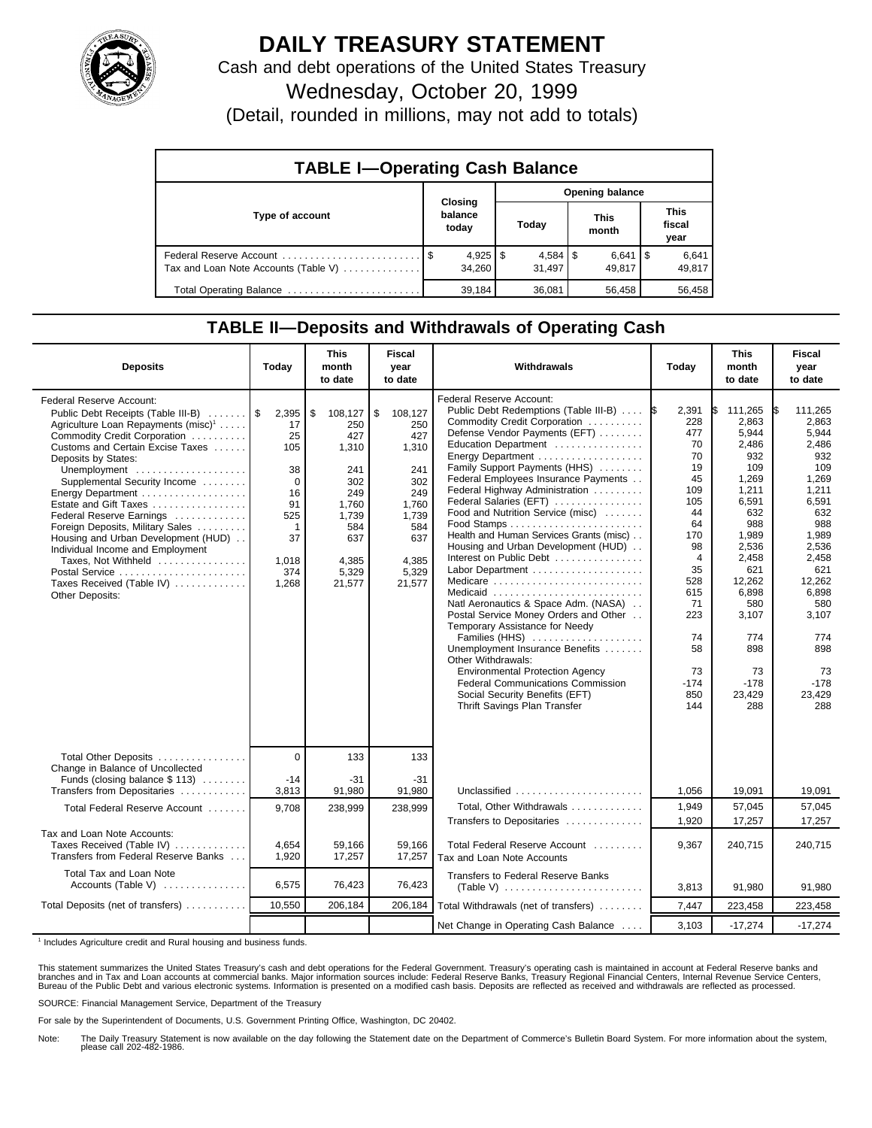

## **DAILY TREASURY STATEMENT**

Cash and debt operations of the United States Treasury

Wednesday, October 20, 1999

(Detail, rounded in millions, may not add to totals)

| <b>TABLE I-Operating Cash Balance</b> |  |                             |                 |                        |  |                      |  |                               |  |
|---------------------------------------|--|-----------------------------|-----------------|------------------------|--|----------------------|--|-------------------------------|--|
|                                       |  |                             | Opening balance |                        |  |                      |  |                               |  |
| Type of account                       |  | Closing<br>balance<br>today |                 | Today                  |  | <b>This</b><br>month |  | <b>This</b><br>fiscal<br>year |  |
| Tax and Loan Note Accounts (Table V)  |  | $4,925$   \$<br>34.260      |                 | $4,584$   \$<br>31.497 |  | $6,641$ S<br>49.817  |  | 6,641<br>49,817               |  |
| Total Operating Balance               |  | 39.184                      |                 | 36,081                 |  | 56,458               |  | 56,458                        |  |

## **TABLE II—Deposits and Withdrawals of Operating Cash**

| <b>Deposits</b>                                                                                                                                                                                                                                                                                                                                                                                                                                                                                                                                | Today                                                                                                        | <b>This</b><br>month<br>to date                                                                                       | <b>Fiscal</b><br>year<br>to date                                                                                      | Withdrawals                                                                                                                                                                                                                                                                                                                                                                                                                                                                                                                                                                                                                                                                                                                                                                                                                                         | Today                                                                                                                                                                                  | <b>This</b><br>month<br>to date                                                                                                                                                                                      | Fiscal<br>year<br>to date                                                                                                                                                                                     |
|------------------------------------------------------------------------------------------------------------------------------------------------------------------------------------------------------------------------------------------------------------------------------------------------------------------------------------------------------------------------------------------------------------------------------------------------------------------------------------------------------------------------------------------------|--------------------------------------------------------------------------------------------------------------|-----------------------------------------------------------------------------------------------------------------------|-----------------------------------------------------------------------------------------------------------------------|-----------------------------------------------------------------------------------------------------------------------------------------------------------------------------------------------------------------------------------------------------------------------------------------------------------------------------------------------------------------------------------------------------------------------------------------------------------------------------------------------------------------------------------------------------------------------------------------------------------------------------------------------------------------------------------------------------------------------------------------------------------------------------------------------------------------------------------------------------|----------------------------------------------------------------------------------------------------------------------------------------------------------------------------------------|----------------------------------------------------------------------------------------------------------------------------------------------------------------------------------------------------------------------|---------------------------------------------------------------------------------------------------------------------------------------------------------------------------------------------------------------|
| Federal Reserve Account:<br>Public Debt Receipts (Table III-B)<br>Agriculture Loan Repayments (misc) <sup>1</sup><br>Commodity Credit Corporation<br>Customs and Certain Excise Taxes<br>Deposits by States:<br>Unemployment<br>Supplemental Security Income<br>Energy Department<br>Estate and Gift Taxes<br>Federal Reserve Earnings<br>Foreign Deposits, Military Sales<br>Housing and Urban Development (HUD)<br>Individual Income and Employment<br>Taxes, Not Withheld<br>Postal Service<br>Taxes Received (Table IV)<br>Other Deposits: | 2,395<br>17<br>25<br>105<br>38<br>$\Omega$<br>16<br>91<br>525<br>$\mathbf{1}$<br>37<br>1.018<br>374<br>1,268 | \$<br>108,127<br>250<br>427<br>1,310<br>241<br>302<br>249<br>1.760<br>1,739<br>584<br>637<br>4.385<br>5,329<br>21,577 | \$<br>108,127<br>250<br>427<br>1,310<br>241<br>302<br>249<br>1,760<br>1.739<br>584<br>637<br>4.385<br>5,329<br>21,577 | Federal Reserve Account:<br>Public Debt Redemptions (Table III-B)<br>Commodity Credit Corporation<br>Defense Vendor Payments (EFT)<br>Education Department<br>Family Support Payments (HHS)<br>Federal Employees Insurance Payments<br>Federal Highway Administration<br>Federal Salaries (EFT)<br>Food and Nutrition Service (misc)<br>Health and Human Services Grants (misc)<br>Housing and Urban Development (HUD)<br>Interest on Public Debt<br>Labor Department<br>Medicare<br>Medicaid<br>Natl Aeronautics & Space Adm. (NASA)<br>Postal Service Money Orders and Other<br>Temporary Assistance for Needy<br>Families (HHS)<br>Unemployment Insurance Benefits<br>Other Withdrawals:<br><b>Environmental Protection Agency</b><br><b>Federal Communications Commission</b><br>Social Security Benefits (EFT)<br>Thrift Savings Plan Transfer | 2,391<br>I\$<br>228<br>477<br>70<br>70<br>19<br>45<br>109<br>105<br>44<br>64<br>170<br>98<br>$\overline{4}$<br>35<br>528<br>615<br>71<br>223<br>74<br>58<br>73<br>$-174$<br>850<br>144 | I\$<br>111,265<br>2,863<br>5,944<br>2,486<br>932<br>109<br>1,269<br>1,211<br>6,591<br>632<br>988<br>1,989<br>2.536<br>2,458<br>621<br>12,262<br>6.898<br>580<br>3,107<br>774<br>898<br>73<br>$-178$<br>23,429<br>288 | 111,265<br>2,863<br>5,944<br>2,486<br>932<br>109<br>1.269<br>1,211<br>6,591<br>632<br>988<br>1,989<br>2.536<br>2,458<br>621<br>12.262<br>6.898<br>580<br>3,107<br>774<br>898<br>73<br>$-178$<br>23,429<br>288 |
| Total Other Deposits                                                                                                                                                                                                                                                                                                                                                                                                                                                                                                                           | $\Omega$                                                                                                     | 133                                                                                                                   | 133                                                                                                                   |                                                                                                                                                                                                                                                                                                                                                                                                                                                                                                                                                                                                                                                                                                                                                                                                                                                     |                                                                                                                                                                                        |                                                                                                                                                                                                                      |                                                                                                                                                                                                               |
| Change in Balance of Uncollected<br>Funds (closing balance $$ 113$ )<br>Transfers from Depositaries                                                                                                                                                                                                                                                                                                                                                                                                                                            | $-14$<br>3,813                                                                                               | $-31$<br>91,980                                                                                                       | $-31$<br>91,980                                                                                                       | Unclassified                                                                                                                                                                                                                                                                                                                                                                                                                                                                                                                                                                                                                                                                                                                                                                                                                                        | 1,056                                                                                                                                                                                  | 19,091                                                                                                                                                                                                               | 19,091                                                                                                                                                                                                        |
| Total Federal Reserve Account                                                                                                                                                                                                                                                                                                                                                                                                                                                                                                                  | 9.708                                                                                                        | 238,999                                                                                                               | 238,999                                                                                                               | Total, Other Withdrawals<br>Transfers to Depositaries                                                                                                                                                                                                                                                                                                                                                                                                                                                                                                                                                                                                                                                                                                                                                                                               | 1,949<br>1,920                                                                                                                                                                         | 57,045<br>17,257                                                                                                                                                                                                     | 57,045<br>17,257                                                                                                                                                                                              |
| Tax and Loan Note Accounts:<br>Taxes Received (Table IV)<br>Transfers from Federal Reserve Banks                                                                                                                                                                                                                                                                                                                                                                                                                                               | 4,654<br>1,920                                                                                               | 59.166<br>17,257                                                                                                      | 59.166<br>17,257                                                                                                      | Total Federal Reserve Account<br>Tax and Loan Note Accounts                                                                                                                                                                                                                                                                                                                                                                                                                                                                                                                                                                                                                                                                                                                                                                                         | 9,367                                                                                                                                                                                  | 240,715                                                                                                                                                                                                              | 240,715                                                                                                                                                                                                       |
| Total Tax and Loan Note<br>Accounts (Table V)                                                                                                                                                                                                                                                                                                                                                                                                                                                                                                  | 6,575                                                                                                        | 76,423                                                                                                                | 76,423                                                                                                                | <b>Transfers to Federal Reserve Banks</b>                                                                                                                                                                                                                                                                                                                                                                                                                                                                                                                                                                                                                                                                                                                                                                                                           | 3,813                                                                                                                                                                                  | 91,980                                                                                                                                                                                                               | 91,980                                                                                                                                                                                                        |
| Total Deposits (net of transfers)                                                                                                                                                                                                                                                                                                                                                                                                                                                                                                              | 10,550                                                                                                       | 206.184                                                                                                               | 206,184                                                                                                               | Total Withdrawals (net of transfers)                                                                                                                                                                                                                                                                                                                                                                                                                                                                                                                                                                                                                                                                                                                                                                                                                | 7,447                                                                                                                                                                                  | 223,458                                                                                                                                                                                                              | 223,458                                                                                                                                                                                                       |
|                                                                                                                                                                                                                                                                                                                                                                                                                                                                                                                                                |                                                                                                              |                                                                                                                       |                                                                                                                       | Net Change in Operating Cash Balance                                                                                                                                                                                                                                                                                                                                                                                                                                                                                                                                                                                                                                                                                                                                                                                                                | 3,103                                                                                                                                                                                  | $-17,274$                                                                                                                                                                                                            | $-17,274$                                                                                                                                                                                                     |

<sup>1</sup> Includes Agriculture credit and Rural housing and business funds.

This statement summarizes the United States Treasury's cash and debt operations for the Federal Government. Treasury's operating cash is maintained in account at Federal Reserve banks and<br>branches and in Tax and Loan accou

SOURCE: Financial Management Service, Department of the Treasury

For sale by the Superintendent of Documents, U.S. Government Printing Office, Washington, DC 20402.

Note: The Daily Treasury Statement is now available on the day following the Statement date on the Department of Commerce's Bulletin Board System. For more information about the system, please call 202-482-1986.